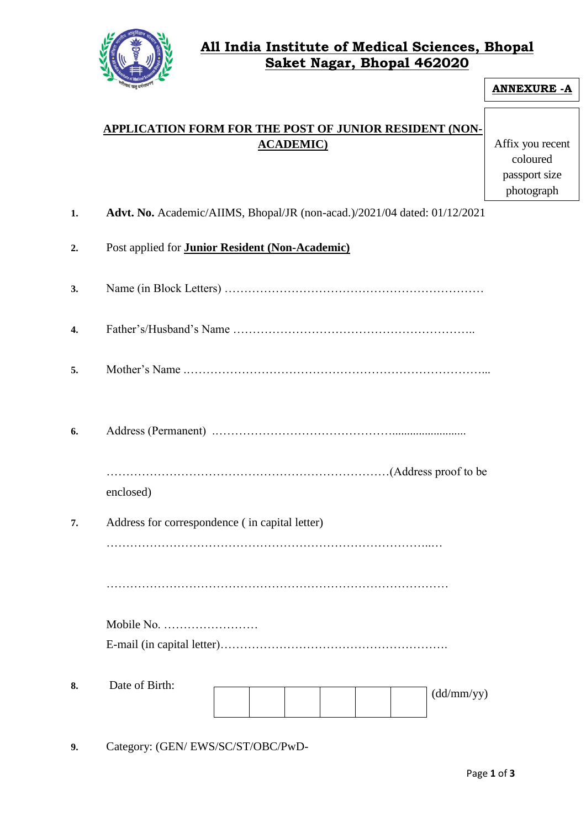

## **All India Institute of Medical Sciences, Bhopal Saket Nagar, Bhopal 462020**

| <b>ANNEXURE - A</b>                                                       |
|---------------------------------------------------------------------------|
| <b>APPLICATION FORM FOR THE POST OF JUNIOR RESIDENT (NON-</b>             |
| Affix you recent<br>coloured<br>passport size<br>photograph               |
| Advt. No. Academic/AIIMS, Bhopal/JR (non-acad.)/2021/04 dated: 01/12/2021 |
|                                                                           |
|                                                                           |
|                                                                           |
|                                                                           |
|                                                                           |
|                                                                           |
|                                                                           |
|                                                                           |
|                                                                           |
|                                                                           |
|                                                                           |
|                                                                           |
|                                                                           |

**9.** Category: (GEN/ EWS/SC/ST/OBC/PwD-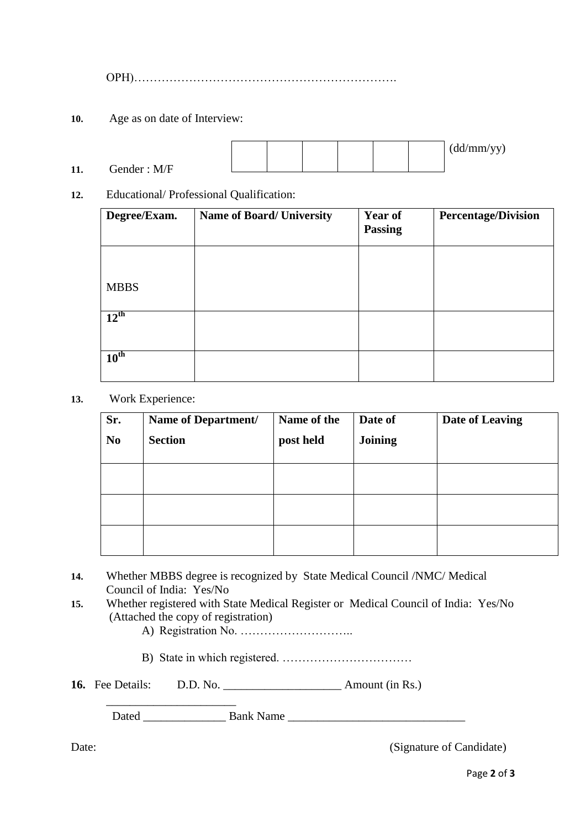OPH)………………………………………………………….

- **10.** Age as on date of Interview:
- **11.** Gender : M/F (dd/mm/yy)
- **12.** Educational/ Professional Qualification:

| Degree/Exam.     | <b>Name of Board/ University</b> | <b>Year of</b><br><b>Passing</b> | <b>Percentage/Division</b> |
|------------------|----------------------------------|----------------------------------|----------------------------|
|                  |                                  |                                  |                            |
| <b>MBBS</b>      |                                  |                                  |                            |
| $12^{\text{th}}$ |                                  |                                  |                            |
| $10^{\text{th}}$ |                                  |                                  |                            |

**13.** Work Experience:

| Sr.            | Name of Department/ | Name of the | Date of        | Date of Leaving |
|----------------|---------------------|-------------|----------------|-----------------|
| N <sub>0</sub> | <b>Section</b>      | post held   | <b>Joining</b> |                 |
|                |                     |             |                |                 |
|                |                     |             |                |                 |
|                |                     |             |                |                 |
|                |                     |             |                |                 |
|                |                     |             |                |                 |
|                |                     |             |                |                 |
|                |                     |             |                |                 |

- **14.** Whether MBBS degree is recognized by State Medical Council /NMC/ Medical Council of India: Yes/No
- **15.** Whether registered with State Medical Register or Medical Council of India: Yes/No (Attached the copy of registration)
	- A) Registration No. ………………………..
	- B) State in which registered. ……………………………
- 16. Fee Details: D.D. No. **Amount (in Rs.)**

\_\_\_\_\_\_\_\_\_\_\_\_\_\_\_\_\_\_\_\_\_\_

Dated \_\_\_\_\_\_\_\_\_\_\_\_\_\_ Bank Name \_\_\_\_\_\_\_\_\_\_\_\_\_\_\_\_\_\_\_\_\_\_\_\_\_\_\_\_\_\_

Date: (Signature of Candidate)